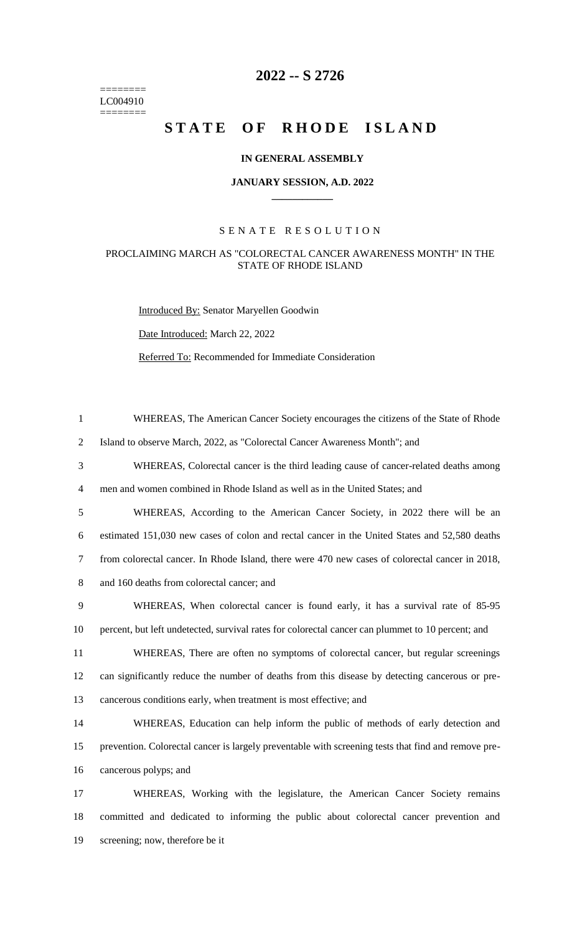======== LC004910  $=$ 

# **2022 -- S 2726**

# STATE OF RHODE ISLAND

#### **IN GENERAL ASSEMBLY**

#### **JANUARY SESSION, A.D. 2022 \_\_\_\_\_\_\_\_\_\_\_\_**

## S E N A T E R E S O L U T I O N

## PROCLAIMING MARCH AS "COLORECTAL CANCER AWARENESS MONTH" IN THE STATE OF RHODE ISLAND

Introduced By: Senator Maryellen Goodwin

Date Introduced: March 22, 2022

Referred To: Recommended for Immediate Consideration

| $\mathbf{1}$   | WHEREAS, The American Cancer Society encourages the citizens of the State of Rhode                  |
|----------------|-----------------------------------------------------------------------------------------------------|
| $\overline{2}$ | Island to observe March, 2022, as "Colorectal Cancer Awareness Month"; and                          |
| 3              | WHEREAS, Colorectal cancer is the third leading cause of cancer-related deaths among                |
| $\overline{4}$ | men and women combined in Rhode Island as well as in the United States; and                         |
| 5              | WHEREAS, According to the American Cancer Society, in 2022 there will be an                         |
| 6              | estimated 151,030 new cases of colon and rectal cancer in the United States and 52,580 deaths       |
| $\tau$         | from colorectal cancer. In Rhode Island, there were 470 new cases of colorectal cancer in 2018,     |
| 8              | and 160 deaths from colorectal cancer; and                                                          |
| 9              | WHEREAS, When colorectal cancer is found early, it has a survival rate of 85-95                     |
| 10             | percent, but left undetected, survival rates for colorectal cancer can plummet to 10 percent; and   |
| 11             | WHEREAS, There are often no symptoms of colorectal cancer, but regular screenings                   |
| 12             | can significantly reduce the number of deaths from this disease by detecting cancerous or pre-      |
| 13             | cancerous conditions early, when treatment is most effective; and                                   |
| 14             | WHEREAS, Education can help inform the public of methods of early detection and                     |
| 15             | prevention. Colorectal cancer is largely preventable with screening tests that find and remove pre- |
| 16             | cancerous polyps; and                                                                               |
| 17             | WHEREAS, Working with the legislature, the American Cancer Society remains                          |
| 18             | committed and dedicated to informing the public about colorectal cancer prevention and              |

19 screening; now, therefore be it